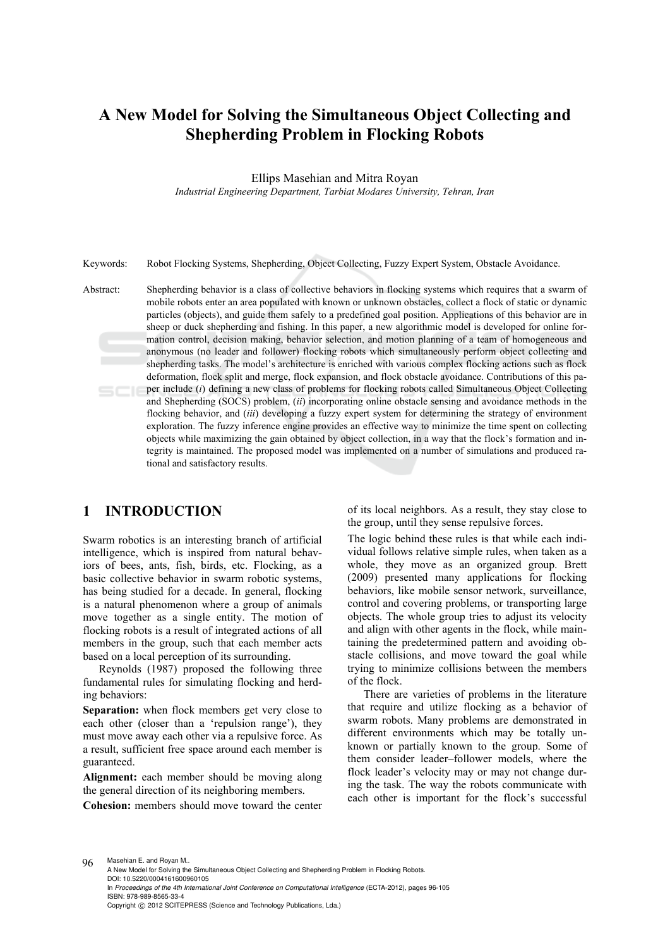# **A New Model for Solving the Simultaneous Object Collecting and Shepherding Problem in Flocking Robots**

Ellips Masehian and Mitra Royan

*Industrial Engineering Department, Tarbiat Modares University, Tehran, Iran* 

Keywords: Robot Flocking Systems, Shepherding, Object Collecting, Fuzzy Expert System, Obstacle Avoidance.

Abstract: Shepherding behavior is a class of collective behaviors in flocking systems which requires that a swarm of mobile robots enter an area populated with known or unknown obstacles, collect a flock of static or dynamic particles (objects), and guide them safely to a predefined goal position. Applications of this behavior are in sheep or duck shepherding and fishing. In this paper, a new algorithmic model is developed for online formation control, decision making, behavior selection, and motion planning of a team of homogeneous and anonymous (no leader and follower) flocking robots which simultaneously perform object collecting and shepherding tasks. The model's architecture is enriched with various complex flocking actions such as flock deformation, flock split and merge, flock expansion, and flock obstacle avoidance. Contributions of this paper include (*i*) defining a new class of problems for flocking robots called Simultaneous Object Collecting and Shepherding (SOCS) problem, (*ii*) incorporating online obstacle sensing and avoidance methods in the flocking behavior, and (*iii*) developing a fuzzy expert system for determining the strategy of environment exploration. The fuzzy inference engine provides an effective way to minimize the time spent on collecting objects while maximizing the gain obtained by object collection, in a way that the flock's formation and integrity is maintained. The proposed model was implemented on a number of simulations and produced rational and satisfactory results.

# **1 INTRODUCTION**

Swarm robotics is an interesting branch of artificial intelligence, which is inspired from natural behaviors of bees, ants, fish, birds, etc. Flocking, as a basic collective behavior in swarm robotic systems, has being studied for a decade. In general, flocking is a natural phenomenon where a group of animals move together as a single entity. The motion of flocking robots is a result of integrated actions of all members in the group, such that each member acts based on a local perception of its surrounding.

Reynolds (1987) proposed the following three fundamental rules for simulating flocking and herding behaviors:

**Separation:** when flock members get very close to each other (closer than a 'repulsion range'), they must move away each other via a repulsive force. As a result, sufficient free space around each member is guaranteed.

**Alignment:** each member should be moving along the general direction of its neighboring members.

**Cohesion:** members should move toward the center

of its local neighbors. As a result, they stay close to the group, until they sense repulsive forces.

The logic behind these rules is that while each individual follows relative simple rules, when taken as a whole, they move as an organized group. Brett (2009) presented many applications for flocking behaviors, like mobile sensor network, surveillance, control and covering problems, or transporting large objects. The whole group tries to adjust its velocity and align with other agents in the flock, while maintaining the predetermined pattern and avoiding obstacle collisions, and move toward the goal while trying to minimize collisions between the members of the flock.

There are varieties of problems in the literature that require and utilize flocking as a behavior of swarm robots. Many problems are demonstrated in different environments which may be totally unknown or partially known to the group. Some of them consider leader–follower models, where the flock leader's velocity may or may not change during the task. The way the robots communicate with each other is important for the flock's successful

96 Masehian E. and Royan M.. A New Model for Solving the Simultaneous Object Collecting and Shepherding Problem in Flocking Robots. DOI: 10.5220/0004161600960105 In *Proceedings of the 4th International Joint Conference on Computational Intelligence* (ECTA-2012), pages 96-105 ISBN: 978-989-8565-33-4 Copyright © 2012 SCITEPRESS (Science and Technology Publications, Lda.)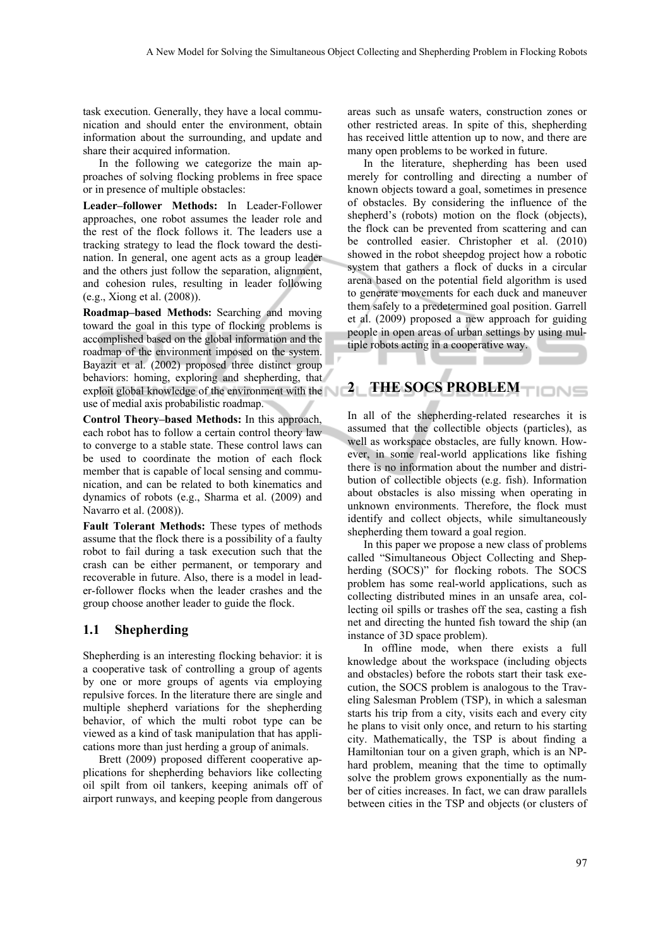task execution. Generally, they have a local communication and should enter the environment, obtain information about the surrounding, and update and share their acquired information.

In the following we categorize the main approaches of solving flocking problems in free space or in presence of multiple obstacles:

**Leader–follower Methods:** In Leader-Follower approaches, one robot assumes the leader role and the rest of the flock follows it. The leaders use a tracking strategy to lead the flock toward the destination. In general, one agent acts as a group leader and the others just follow the separation, alignment, and cohesion rules, resulting in leader following (e.g., Xiong et al. (2008)).

**Roadmap–based Methods:** Searching and moving toward the goal in this type of flocking problems is accomplished based on the global information and the roadmap of the environment imposed on the system. Bayazit et al. (2002) proposed three distinct group behaviors: homing, exploring and shepherding, that exploit global knowledge of the environment with the use of medial axis probabilistic roadmap.

**Control Theory–based Methods:** In this approach, each robot has to follow a certain control theory law to converge to a stable state. These control laws can be used to coordinate the motion of each flock member that is capable of local sensing and communication, and can be related to both kinematics and dynamics of robots (e.g., Sharma et al. (2009) and Navarro et al. (2008)).

**Fault Tolerant Methods:** These types of methods assume that the flock there is a possibility of a faulty robot to fail during a task execution such that the crash can be either permanent, or temporary and recoverable in future. Also, there is a model in leader-follower flocks when the leader crashes and the group choose another leader to guide the flock.

### **1.1 Shepherding**

Shepherding is an interesting flocking behavior: it is a cooperative task of controlling a group of agents by one or more groups of agents via employing repulsive forces. In the literature there are single and multiple shepherd variations for the shepherding behavior, of which the multi robot type can be viewed as a kind of task manipulation that has applications more than just herding a group of animals.

Brett (2009) proposed different cooperative applications for shepherding behaviors like collecting oil spilt from oil tankers, keeping animals off of airport runways, and keeping people from dangerous

areas such as unsafe waters, construction zones or other restricted areas. In spite of this, shepherding has received little attention up to now, and there are many open problems to be worked in future.

In the literature, shepherding has been used merely for controlling and directing a number of known objects toward a goal, sometimes in presence of obstacles. By considering the influence of the shepherd's (robots) motion on the flock (objects), the flock can be prevented from scattering and can be controlled easier. Christopher et al. (2010) showed in the robot sheepdog project how a robotic system that gathers a flock of ducks in a circular arena based on the potential field algorithm is used to generate movements for each duck and maneuver them safely to a predetermined goal position. Garrell et al. (2009) proposed a new approach for guiding people in open areas of urban settings by using multiple robots acting in a cooperative way.

# **2 THE SOCS PROBLEM**

In all of the shepherding-related researches it is assumed that the collectible objects (particles), as well as workspace obstacles, are fully known. However, in some real-world applications like fishing there is no information about the number and distribution of collectible objects (e.g. fish). Information about obstacles is also missing when operating in unknown environments. Therefore, the flock must identify and collect objects, while simultaneously shepherding them toward a goal region.

In this paper we propose a new class of problems called "Simultaneous Object Collecting and Shepherding (SOCS)" for flocking robots. The SOCS problem has some real-world applications, such as collecting distributed mines in an unsafe area, collecting oil spills or trashes off the sea, casting a fish net and directing the hunted fish toward the ship (an instance of 3D space problem).

In offline mode, when there exists a full knowledge about the workspace (including objects and obstacles) before the robots start their task execution, the SOCS problem is analogous to the Traveling Salesman Problem (TSP), in which a salesman starts his trip from a city, visits each and every city he plans to visit only once, and return to his starting city. Mathematically, the TSP is about finding a Hamiltonian tour on a given graph, which is an NPhard problem, meaning that the time to optimally solve the problem grows exponentially as the number of cities increases. In fact, we can draw parallels between cities in the TSP and objects (or clusters of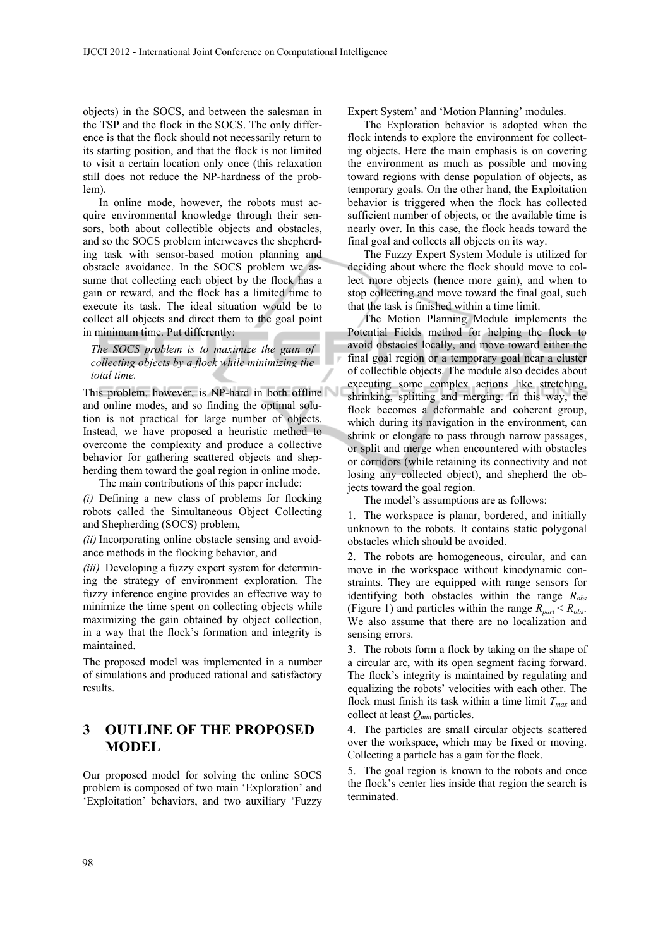objects) in the SOCS, and between the salesman in the TSP and the flock in the SOCS. The only difference is that the flock should not necessarily return to its starting position, and that the flock is not limited to visit a certain location only once (this relaxation still does not reduce the NP-hardness of the problem).

In online mode, however, the robots must acquire environmental knowledge through their sensors, both about collectible objects and obstacles, and so the SOCS problem interweaves the shepherding task with sensor-based motion planning and obstacle avoidance. In the SOCS problem we assume that collecting each object by the flock has a gain or reward, and the flock has a limited time to execute its task. The ideal situation would be to collect all objects and direct them to the goal point in minimum time. Put differently:

*The SOCS problem is to maximize the gain of collecting objects by a flock while minimizing the total time.* 

This problem, however, is NP-hard in both offline and online modes, and so finding the optimal solution is not practical for large number of objects. Instead, we have proposed a heuristic method to overcome the complexity and produce a collective behavior for gathering scattered objects and shepherding them toward the goal region in online mode. The main contributions of this paper include:

*(i)* Defining a new class of problems for flocking robots called the Simultaneous Object Collecting and Shepherding (SOCS) problem,

*(ii)* Incorporating online obstacle sensing and avoidance methods in the flocking behavior, and

*(iii)* Developing a fuzzy expert system for determining the strategy of environment exploration. The fuzzy inference engine provides an effective way to minimize the time spent on collecting objects while maximizing the gain obtained by object collection, in a way that the flock's formation and integrity is maintained.

The proposed model was implemented in a number of simulations and produced rational and satisfactory results.

# **3 OUTLINE OF THE PROPOSED MODEL**

Our proposed model for solving the online SOCS problem is composed of two main 'Exploration' and 'Exploitation' behaviors, and two auxiliary 'Fuzzy Expert System' and 'Motion Planning' modules.

The Exploration behavior is adopted when the flock intends to explore the environment for collecting objects. Here the main emphasis is on covering the environment as much as possible and moving toward regions with dense population of objects, as temporary goals. On the other hand, the Exploitation behavior is triggered when the flock has collected sufficient number of objects, or the available time is nearly over. In this case, the flock heads toward the final goal and collects all objects on its way.

The Fuzzy Expert System Module is utilized for deciding about where the flock should move to collect more objects (hence more gain), and when to stop collecting and move toward the final goal, such that the task is finished within a time limit.

The Motion Planning Module implements the Potential Fields method for helping the flock to avoid obstacles locally, and move toward either the final goal region or a temporary goal near a cluster of collectible objects. The module also decides about executing some complex actions like stretching, shrinking, splitting and merging. In this way, the flock becomes a deformable and coherent group, which during its navigation in the environment, can shrink or elongate to pass through narrow passages, or split and merge when encountered with obstacles or corridors (while retaining its connectivity and not losing any collected object), and shepherd the objects toward the goal region.

The model's assumptions are as follows:

1. The workspace is planar, bordered, and initially unknown to the robots. It contains static polygonal obstacles which should be avoided.

2. The robots are homogeneous, circular, and can move in the workspace without kinodynamic constraints. They are equipped with range sensors for identifying both obstacles within the range *Robs* (Figure 1) and particles within the range  $R_{part} < R_{obs}$ . We also assume that there are no localization and sensing errors.

3. The robots form a flock by taking on the shape of a circular arc, with its open segment facing forward. The flock's integrity is maintained by regulating and equalizing the robots' velocities with each other. The flock must finish its task within a time limit  $T_{max}$  and collect at least *Qmin* particles.

4. The particles are small circular objects scattered over the workspace, which may be fixed or moving. Collecting a particle has a gain for the flock.

5. The goal region is known to the robots and once the flock's center lies inside that region the search is terminated.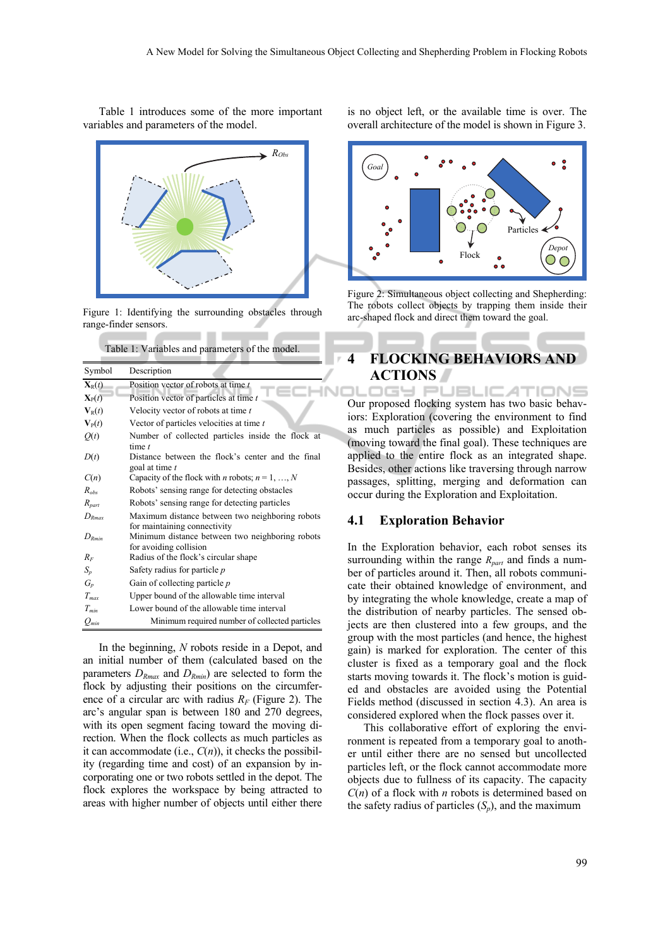Table 1 introduces some of the more important variables and parameters of the model.



Figure 1: Identifying the surrounding obstacles through range-finder sensors.

| Symbol                     | Description                                                                     |
|----------------------------|---------------------------------------------------------------------------------|
| $\mathbf{X}_{\text{R}}(t)$ | Position vector of robots at time t                                             |
| $\mathbf{X}_{\text{P}}(t)$ | Position vector of particles at time t                                          |
| $V_{R}(t)$                 | Velocity vector of robots at time t                                             |
| $\mathbf{V}_{\text{P}}(t)$ | Vector of particles velocities at time t                                        |
| Q(t)                       | Number of collected particles inside the flock at<br>time t                     |
| D(t)                       | Distance between the flock's center and the final<br>goal at time t             |
| C(n)                       | Capacity of the flock with <i>n</i> robots; $n = 1, , N$                        |
| $R_{\alpha bc}$            | Robots' sensing range for detecting obstacles                                   |
| $R_{part}$                 | Robots' sensing range for detecting particles                                   |
| $D_{Rmax}$                 | Maximum distance between two neighboring robots<br>for maintaining connectivity |
| $D_{Rmin}$                 | Minimum distance between two neighboring robots<br>for avoiding collision       |
| $R_F$                      | Radius of the flock's circular shape                                            |
| $S_p$                      | Safety radius for particle $p$                                                  |
| $G_p$                      | Gain of collecting particle p                                                   |
| $T_{max}$                  | Upper bound of the allowable time interval                                      |
| $T_{min}$                  | Lower bound of the allowable time interval                                      |
| $Q_{min}$                  | Minimum required number of collected particles                                  |

In the beginning, *N* robots reside in a Depot, and an initial number of them (calculated based on the parameters *DRmax* and *DRmin*) are selected to form the flock by adjusting their positions on the circumference of a circular arc with radius  $R_F$  (Figure 2). The arc's angular span is between 180 and 270 degrees, with its open segment facing toward the moving direction. When the flock collects as much particles as it can accommodate (i.e.,  $C(n)$ ), it checks the possibility (regarding time and cost) of an expansion by incorporating one or two robots settled in the depot. The flock explores the workspace by being attracted to areas with higher number of objects until either there

is no object left, or the available time is over. The overall architecture of the model is shown in Figure 3.



Figure 2: Simultaneous object collecting and Shepherding: The robots collect objects by trapping them inside their arc-shaped flock and direct them toward the goal.

# **4 FLOCKING BEHAVIORS AND ACTIONS**

JOL **IGY PUBLICATIONS** Our proposed flocking system has two basic behaviors: Exploration (covering the environment to find as much particles as possible) and Exploitation (moving toward the final goal). These techniques are applied to the entire flock as an integrated shape. Besides, other actions like traversing through narrow passages, splitting, merging and deformation can occur during the Exploration and Exploitation.

#### **4.1 Exploration Behavior**

In the Exploration behavior, each robot senses its surrounding within the range  $R_{part}$  and finds a number of particles around it. Then, all robots communicate their obtained knowledge of environment, and by integrating the whole knowledge, create a map of the distribution of nearby particles. The sensed objects are then clustered into a few groups, and the group with the most particles (and hence, the highest gain) is marked for exploration. The center of this cluster is fixed as a temporary goal and the flock starts moving towards it. The flock's motion is guided and obstacles are avoided using the Potential Fields method (discussed in section 4.3). An area is considered explored when the flock passes over it.

This collaborative effort of exploring the environment is repeated from a temporary goal to another until either there are no sensed but uncollected particles left, or the flock cannot accommodate more objects due to fullness of its capacity. The capacity *C*(*n*) of a flock with *n* robots is determined based on the safety radius of particles  $(S_n)$ , and the maximum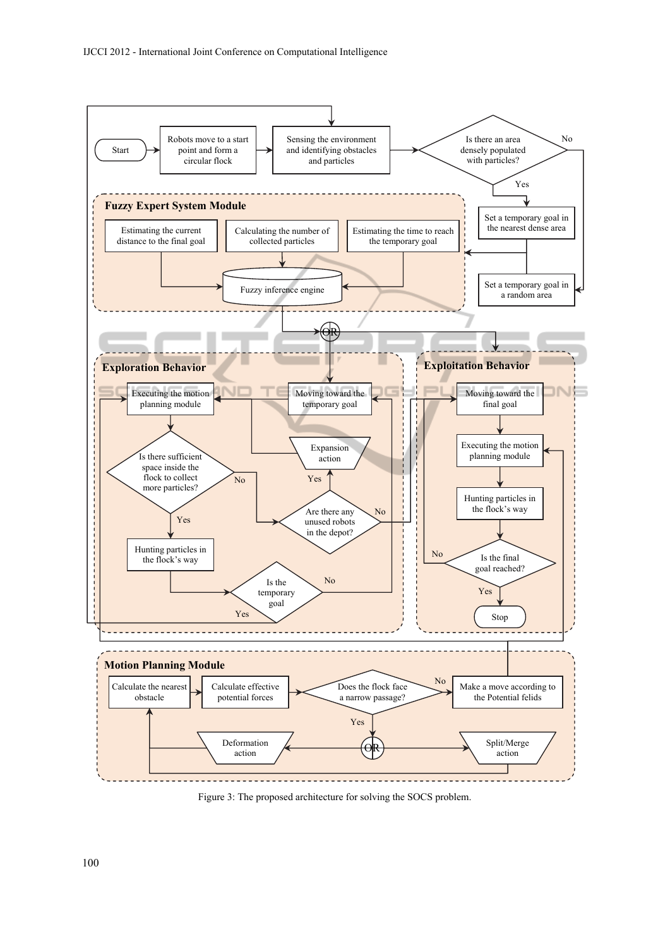

Figure 3: The proposed architecture for solving the SOCS problem.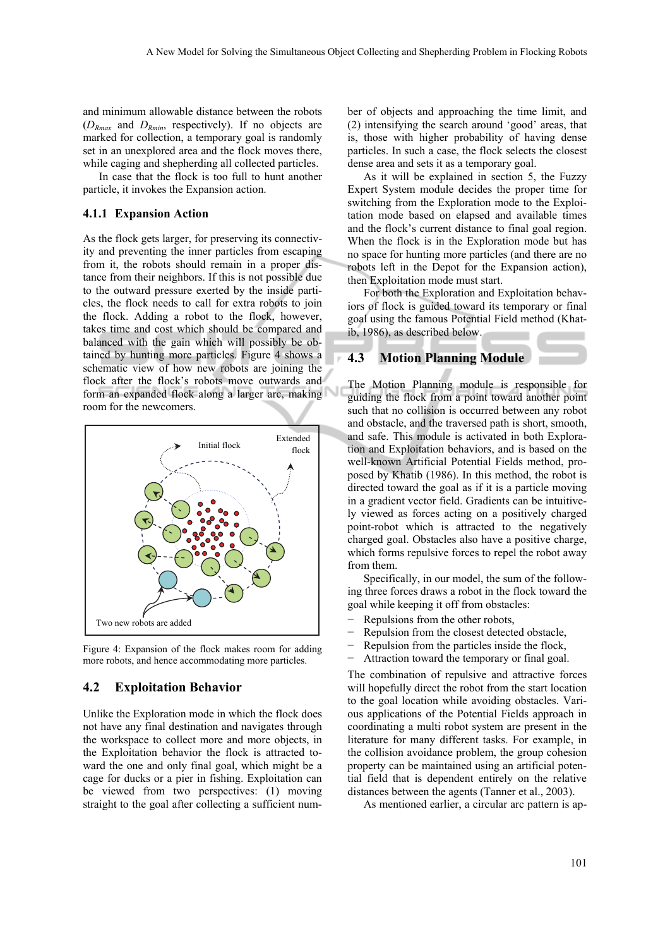and minimum allowable distance between the robots (*DRmax* and *DRmin*, respectively). If no objects are marked for collection, a temporary goal is randomly set in an unexplored area and the flock moves there, while caging and shepherding all collected particles.

In case that the flock is too full to hunt another particle, it invokes the Expansion action.

#### **4.1.1 Expansion Action**

As the flock gets larger, for preserving its connectivity and preventing the inner particles from escaping from it, the robots should remain in a proper distance from their neighbors. If this is not possible due to the outward pressure exerted by the inside particles, the flock needs to call for extra robots to join the flock. Adding a robot to the flock, however, takes time and cost which should be compared and balanced with the gain which will possibly be obtained by hunting more particles. Figure 4 shows a schematic view of how new robots are joining the flock after the flock's robots move outwards and form an expanded flock along a larger arc, making room for the newcomers.



Figure 4: Expansion of the flock makes room for adding more robots, and hence accommodating more particles.

#### **4.2 Exploitation Behavior**

Unlike the Exploration mode in which the flock does not have any final destination and navigates through the workspace to collect more and more objects, in the Exploitation behavior the flock is attracted toward the one and only final goal, which might be a cage for ducks or a pier in fishing. Exploitation can be viewed from two perspectives: (1) moving straight to the goal after collecting a sufficient number of objects and approaching the time limit, and (2) intensifying the search around 'good' areas, that is, those with higher probability of having dense particles. In such a case, the flock selects the closest dense area and sets it as a temporary goal.

As it will be explained in section 5, the Fuzzy Expert System module decides the proper time for switching from the Exploration mode to the Exploitation mode based on elapsed and available times and the flock's current distance to final goal region. When the flock is in the Exploration mode but has no space for hunting more particles (and there are no robots left in the Depot for the Expansion action), then Exploitation mode must start.

For both the Exploration and Exploitation behaviors of flock is guided toward its temporary or final goal using the famous Potential Field method (Khatib, 1986), as described below.

### **4.3 Motion Planning Module**

The Motion Planning module is responsible for guiding the flock from a point toward another point such that no collision is occurred between any robot and obstacle, and the traversed path is short, smooth, and safe. This module is activated in both Exploration and Exploitation behaviors, and is based on the well-known Artificial Potential Fields method, proposed by Khatib (1986). In this method, the robot is directed toward the goal as if it is a particle moving in a gradient vector field. Gradients can be intuitively viewed as forces acting on a positively charged point-robot which is attracted to the negatively charged goal. Obstacles also have a positive charge, which forms repulsive forces to repel the robot away from them.

Specifically, in our model, the sum of the following three forces draws a robot in the flock toward the goal while keeping it off from obstacles:

- Repulsions from the other robots,
- Repulsion from the closest detected obstacle,
- Repulsion from the particles inside the flock,
- Attraction toward the temporary or final goal.

The combination of repulsive and attractive forces will hopefully direct the robot from the start location to the goal location while avoiding obstacles. Various applications of the Potential Fields approach in coordinating a multi robot system are present in the literature for many different tasks. For example, in the collision avoidance problem, the group cohesion property can be maintained using an artificial potential field that is dependent entirely on the relative distances between the agents (Tanner et al., 2003).

As mentioned earlier, a circular arc pattern is ap-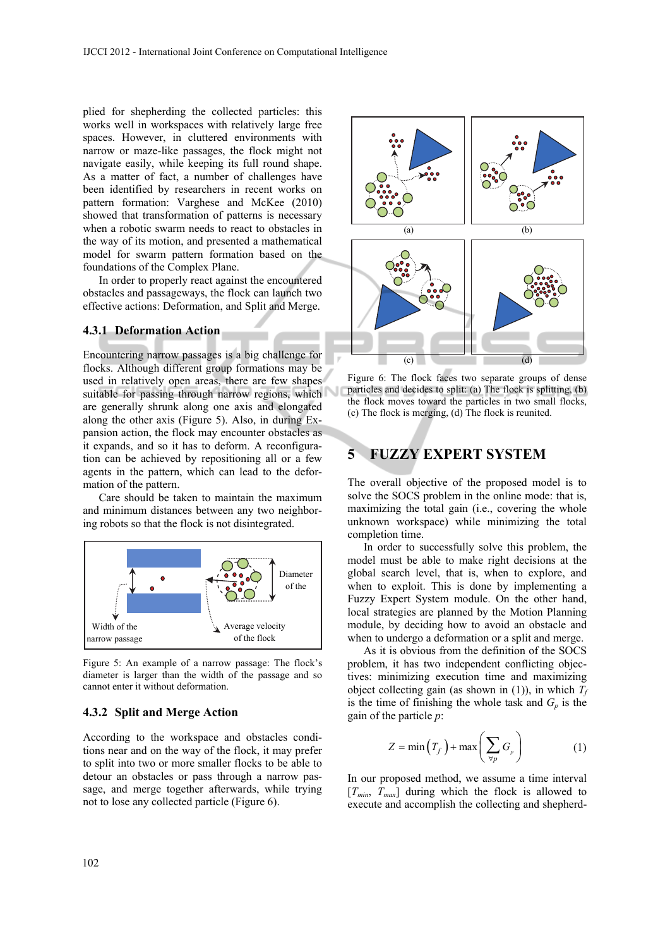plied for shepherding the collected particles: this works well in workspaces with relatively large free spaces. However, in cluttered environments with narrow or maze-like passages, the flock might not navigate easily, while keeping its full round shape. As a matter of fact, a number of challenges have been identified by researchers in recent works on pattern formation: Varghese and McKee (2010) showed that transformation of patterns is necessary when a robotic swarm needs to react to obstacles in the way of its motion, and presented a mathematical model for swarm pattern formation based on the foundations of the Complex Plane.

In order to properly react against the encountered obstacles and passageways, the flock can launch two effective actions: Deformation, and Split and Merge.

#### **4.3.1 Deformation Action**

Encountering narrow passages is a big challenge for flocks. Although different group formations may be used in relatively open areas, there are few shapes suitable for passing through narrow regions, which are generally shrunk along one axis and elongated along the other axis (Figure 5). Also, in during Expansion action, the flock may encounter obstacles as it expands, and so it has to deform. A reconfiguration can be achieved by repositioning all or a few agents in the pattern, which can lead to the deformation of the pattern.

Care should be taken to maintain the maximum and minimum distances between any two neighboring robots so that the flock is not disintegrated.



Figure 5: An example of a narrow passage: The flock's diameter is larger than the width of the passage and so cannot enter it without deformation.

#### **4.3.2 Split and Merge Action**

According to the workspace and obstacles conditions near and on the way of the flock, it may prefer to split into two or more smaller flocks to be able to detour an obstacles or pass through a narrow passage, and merge together afterwards, while trying not to lose any collected particle (Figure 6).



Figure 6: The flock faces two separate groups of dense particles and decides to split: (a) The flock is splitting, (b) the flock moves toward the particles in two small flocks, (c) The flock is merging, (d) The flock is reunited.

# **5 FUZZY EXPERT SYSTEM**

The overall objective of the proposed model is to solve the SOCS problem in the online mode: that is, maximizing the total gain (i.e., covering the whole unknown workspace) while minimizing the total completion time.

In order to successfully solve this problem, the model must be able to make right decisions at the global search level, that is, when to explore, and when to exploit. This is done by implementing a Fuzzy Expert System module. On the other hand, local strategies are planned by the Motion Planning module, by deciding how to avoid an obstacle and when to undergo a deformation or a split and merge.

As it is obvious from the definition of the SOCS problem, it has two independent conflicting objectives: minimizing execution time and maximizing object collecting gain (as shown in (1)), in which  $T_f$ is the time of finishing the whole task and  $G_p$  is the gain of the particle *p*:

$$
Z = \min\left(T_f\right) + \max\left(\sum_{\forall p} G_p\right) \tag{1}
$$

In our proposed method, we assume a time interval [*Tmin*, *Tmax*] during which the flock is allowed to execute and accomplish the collecting and shepherd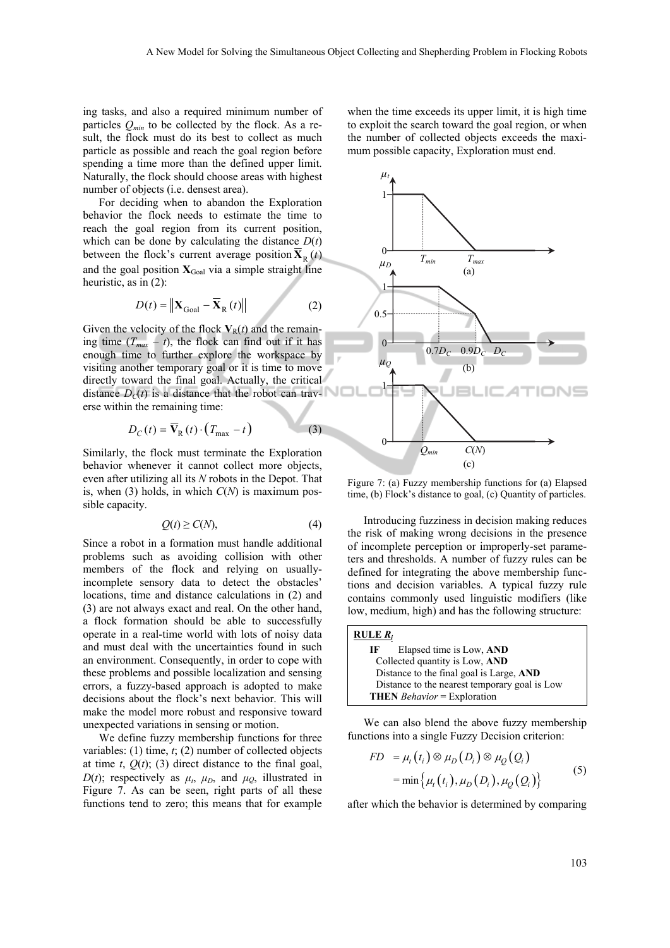ing tasks, and also a required minimum number of particles  $Q_{min}$  to be collected by the flock. As a result, the flock must do its best to collect as much particle as possible and reach the goal region before spending a time more than the defined upper limit. Naturally, the flock should choose areas with highest number of objects (i.e. densest area).

For deciding when to abandon the Exploration behavior the flock needs to estimate the time to reach the goal region from its current position, which can be done by calculating the distance  $D(t)$ between the flock's current average position  $\overline{X}_R(t)$ and the goal position **X**Goal via a simple straight line heuristic, as in (2):

$$
D(t) = \left\| \mathbf{X}_{\text{Goal}} - \overline{\mathbf{X}}_{\text{R}}(t) \right\| \tag{2}
$$

Given the velocity of the flock  $V_R(t)$  and the remaining time  $(T_{max} - t)$ , the flock can find out if it has enough time to further explore the workspace by visiting another temporary goal or it is time to move directly toward the final goal. Actually, the critical distance  $D<sub>C</sub>(t)$  is a distance that the robot can traverse within the remaining time:

$$
D_C(t) = \overline{\mathbf{V}}_{\mathbf{R}}(t) \cdot (T_{\text{max}} - t)
$$
 (3)

Similarly, the flock must terminate the Exploration behavior whenever it cannot collect more objects, even after utilizing all its *N* robots in the Depot. That is, when  $(3)$  holds, in which  $C(N)$  is maximum possible capacity.

$$
Q(t) \ge C(N),\tag{4}
$$

Since a robot in a formation must handle additional problems such as avoiding collision with other members of the flock and relying on usuallyincomplete sensory data to detect the obstacles' locations, time and distance calculations in (2) and (3) are not always exact and real. On the other hand, a flock formation should be able to successfully operate in a real-time world with lots of noisy data and must deal with the uncertainties found in such an environment. Consequently, in order to cope with these problems and possible localization and sensing errors, a fuzzy-based approach is adopted to make decisions about the flock's next behavior. This will make the model more robust and responsive toward unexpected variations in sensing or motion.

We define fuzzy membership functions for three variables: (1) time, *t*; (2) number of collected objects at time  $t$ ,  $Q(t)$ ; (3) direct distance to the final goal, *D*(*t*); respectively as  $\mu_t$ ,  $\mu_D$ , and  $\mu_Q$ , illustrated in Figure 7. As can be seen, right parts of all these functions tend to zero; this means that for example when the time exceeds its upper limit, it is high time to exploit the search toward the goal region, or when the number of collected objects exceeds the maximum possible capacity, Exploration must end.



Figure 7: (a) Fuzzy membership functions for (a) Elapsed time, (b) Flock's distance to goal, (c) Quantity of particles.

Introducing fuzziness in decision making reduces the risk of making wrong decisions in the presence of incomplete perception or improperly-set parameters and thresholds. A number of fuzzy rules can be defined for integrating the above membership functions and decision variables. A typical fuzzy rule contains commonly used linguistic modifiers (like low, medium, high) and has the following structure:

**RULE** *Ri*

| IF                                            | Elapsed time is Low, AND                  |  |  |  |
|-----------------------------------------------|-------------------------------------------|--|--|--|
| Collected quantity is Low, AND                |                                           |  |  |  |
| Distance to the final goal is Large, AND      |                                           |  |  |  |
| Distance to the nearest temporary goal is Low |                                           |  |  |  |
|                                               | <b>THEN</b> <i>Behavior</i> = Exploration |  |  |  |

We can also blend the above fuzzy membership functions into a single Fuzzy Decision criterion:

$$
FD = \mu_t(t_i) \otimes \mu_D(D_i) \otimes \mu_Q(Q_i)
$$
  
= min $\{\mu_t(t_i), \mu_D(D_i), \mu_Q(Q_i)\}$  (5)

after which the behavior is determined by comparing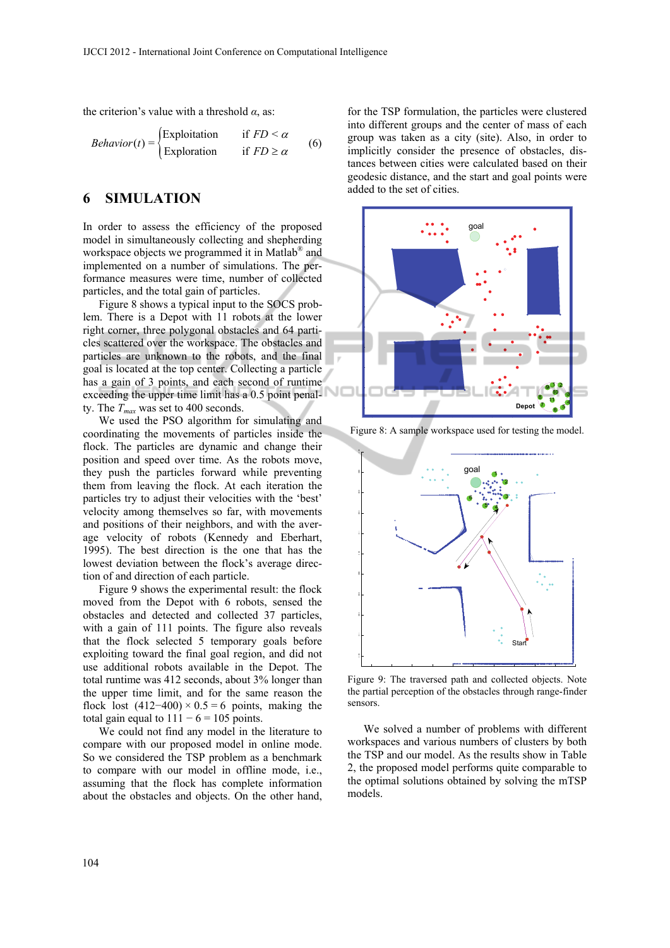the criterion's value with a threshold  $\alpha$ , as:

*Behavior*(*t*) = 
$$
\begin{cases} \text{Exploitation} & \text{if } FD < \alpha \\ \text{Exploration} & \text{if } FD \ge \alpha \end{cases}
$$
 (6)

## **6 SIMULATION**

In order to assess the efficiency of the proposed model in simultaneously collecting and shepherding workspace objects we programmed it in Matlab<sup>®</sup> and implemented on a number of simulations. The performance measures were time, number of collected particles, and the total gain of particles.

Figure 8 shows a typical input to the SOCS problem. There is a Depot with 11 robots at the lower right corner, three polygonal obstacles and 64 particles scattered over the workspace. The obstacles and particles are unknown to the robots, and the final goal is located at the top center. Collecting a particle has a gain of 3 points, and each second of runtime exceeding the upper time limit has a 0.5 point penalty. The *Tmax* was set to 400 seconds.

We used the PSO algorithm for simulating and coordinating the movements of particles inside the flock. The particles are dynamic and change their position and speed over time. As the robots move, they push the particles forward while preventing them from leaving the flock. At each iteration the particles try to adjust their velocities with the 'best' velocity among themselves so far, with movements and positions of their neighbors, and with the average velocity of robots (Kennedy and Eberhart, 1995). The best direction is the one that has the lowest deviation between the flock's average direction of and direction of each particle.

Figure 9 shows the experimental result: the flock moved from the Depot with 6 robots, sensed the obstacles and detected and collected 37 particles, with a gain of 111 points. The figure also reveals that the flock selected 5 temporary goals before exploiting toward the final goal region, and did not use additional robots available in the Depot. The total runtime was 412 seconds, about 3% longer than the upper time limit, and for the same reason the flock lost  $(412-400) \times 0.5 = 6$  points, making the total gain equal to  $111 - 6 = 105$  points.

We could not find any model in the literature to compare with our proposed model in online mode. So we considered the TSP problem as a benchmark to compare with our model in offline mode, i.e., assuming that the flock has complete information about the obstacles and objects. On the other hand,

for the TSP formulation, the particles were clustered into different groups and the center of mass of each group was taken as a city (site). Also, in order to implicitly consider the presence of obstacles, distances between cities were calculated based on their geodesic distance, and the start and goal points were added to the set of cities.



Figure 8: A sample workspace used for testing the model.



Figure 9: The traversed path and collected objects. Note the partial perception of the obstacles through range-finder sensors.

We solved a number of problems with different workspaces and various numbers of clusters by both the TSP and our model. As the results show in Table 2, the proposed model performs quite comparable to the optimal solutions obtained by solving the mTSP models.